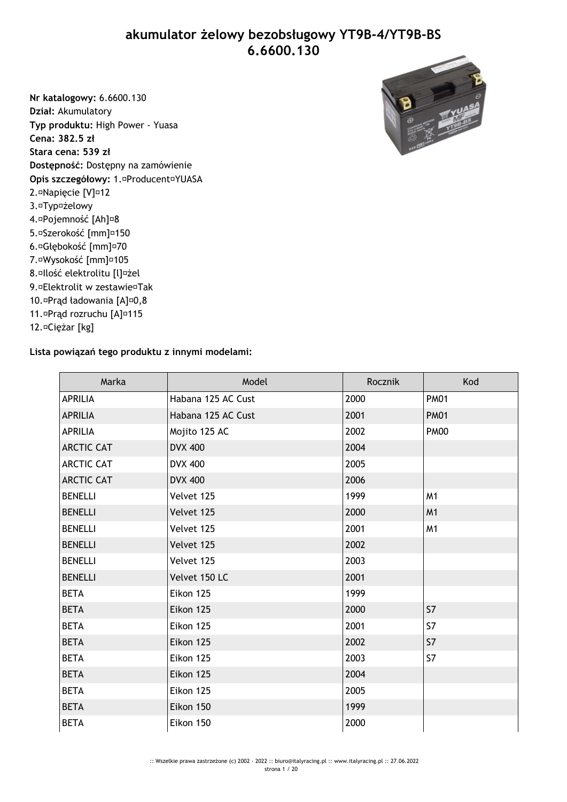**akumulator żelowy bezobsługowy YT9B-4/YT9B-BS 6.6600.130**

**Nr katalogowy:** 6.6600.130 **Dział:** Akumulatory **Typ produktu:** High Power - Yuasa **Cena: 382.5 zł Stara cena: 539 zł Dostępność:** Dostępny na zamówienie **Opis szczegółowy:** 1. Producent YUASA 2. Napięcie [V] 12 3. Typ żelowy 4. Pojemność [Ah] 8 5. Szerokość [mm] 150 6. Głębokość [mm] 70 7. Wysokość [mm] 105

- 8. Ilość elektrolitu [l] żel
- 9. Elektrolit w zestawie Tak
- 10. Prąd ładowania [A] 0,8
- 11. Prąd rozruchu [A] 115
- 12. Ciężar [kg]

## **Lista powiązań tego produktu z innymi modelami:**

| Marka             | Model              | Rocznik | Kod            |
|-------------------|--------------------|---------|----------------|
| <b>APRILIA</b>    | Habana 125 AC Cust | 2000    | <b>PM01</b>    |
| <b>APRILIA</b>    | Habana 125 AC Cust | 2001    | <b>PM01</b>    |
| <b>APRILIA</b>    | Mojito 125 AC      | 2002    | <b>PM00</b>    |
| <b>ARCTIC CAT</b> | <b>DVX 400</b>     | 2004    |                |
| <b>ARCTIC CAT</b> | <b>DVX 400</b>     | 2005    |                |
| <b>ARCTIC CAT</b> | <b>DVX 400</b>     | 2006    |                |
| <b>BENELLI</b>    | Velvet 125         | 1999    | M <sub>1</sub> |
| <b>BENELLI</b>    | Velvet 125         | 2000    | M <sub>1</sub> |
| <b>BENELLI</b>    | Velvet 125         | 2001    | M1             |
| <b>BENELLI</b>    | Velvet 125         | 2002    |                |
| <b>BENELLI</b>    | Velvet 125         | 2003    |                |
| <b>BENELLI</b>    | Velvet 150 LC      | 2001    |                |
| <b>BETA</b>       | Eikon 125          | 1999    |                |
| <b>BETA</b>       | Eikon 125          | 2000    | S7             |
| <b>BETA</b>       | Eikon 125          | 2001    | S7             |
| <b>BETA</b>       | Eikon 125          | 2002    | S7             |
| <b>BETA</b>       | Eikon 125          | 2003    | S7             |
| <b>BETA</b>       | Eikon 125          | 2004    |                |
| <b>BETA</b>       | Eikon 125          | 2005    |                |
| <b>BETA</b>       | Eikon 150          | 1999    |                |
| <b>BETA</b>       | Eikon 150          | 2000    |                |

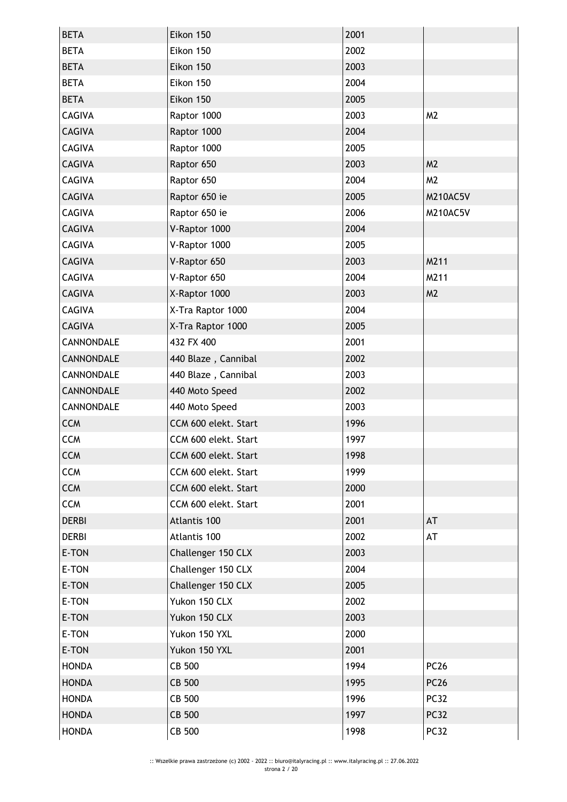| <b>BETA</b>   | Eikon 150            | 2001 |                |
|---------------|----------------------|------|----------------|
| <b>BETA</b>   | Eikon 150            | 2002 |                |
| <b>BETA</b>   | Eikon 150            | 2003 |                |
| <b>BETA</b>   | Eikon 150            | 2004 |                |
| <b>BETA</b>   | Eikon 150            | 2005 |                |
| CAGIVA        | Raptor 1000          | 2003 | M <sub>2</sub> |
| <b>CAGIVA</b> | Raptor 1000          | 2004 |                |
| <b>CAGIVA</b> | Raptor 1000          | 2005 |                |
| <b>CAGIVA</b> | Raptor 650           | 2003 | M <sub>2</sub> |
| <b>CAGIVA</b> | Raptor 650           | 2004 | M <sub>2</sub> |
| <b>CAGIVA</b> | Raptor 650 ie        | 2005 | M210AC5V       |
| <b>CAGIVA</b> | Raptor 650 ie        | 2006 | M210AC5V       |
| <b>CAGIVA</b> | V-Raptor 1000        | 2004 |                |
| <b>CAGIVA</b> | V-Raptor 1000        | 2005 |                |
| <b>CAGIVA</b> | V-Raptor 650         | 2003 | M211           |
| <b>CAGIVA</b> | V-Raptor 650         | 2004 | M211           |
| <b>CAGIVA</b> | X-Raptor 1000        | 2003 | M <sub>2</sub> |
| <b>CAGIVA</b> | X-Tra Raptor 1000    | 2004 |                |
| <b>CAGIVA</b> | X-Tra Raptor 1000    | 2005 |                |
| CANNONDALE    | 432 FX 400           | 2001 |                |
| CANNONDALE    | 440 Blaze, Cannibal  | 2002 |                |
| CANNONDALE    | 440 Blaze, Cannibal  | 2003 |                |
| CANNONDALE    | 440 Moto Speed       | 2002 |                |
| CANNONDALE    | 440 Moto Speed       | 2003 |                |
| <b>CCM</b>    | CCM 600 elekt. Start | 1996 |                |
| <b>CCM</b>    | CCM 600 elekt. Start | 1997 |                |
| <b>CCM</b>    | CCM 600 elekt. Start | 1998 |                |
| <b>CCM</b>    | CCM 600 elekt. Start | 1999 |                |
| <b>CCM</b>    | CCM 600 elekt. Start | 2000 |                |
| <b>CCM</b>    | CCM 600 elekt. Start | 2001 |                |
| <b>DERBI</b>  | Atlantis 100         | 2001 | AT             |
| <b>DERBI</b>  | Atlantis 100         | 2002 | AT             |
| E-TON         | Challenger 150 CLX   | 2003 |                |
| E-TON         | Challenger 150 CLX   | 2004 |                |
| E-TON         | Challenger 150 CLX   | 2005 |                |
| E-TON         | Yukon 150 CLX        | 2002 |                |
| E-TON         | Yukon 150 CLX        | 2003 |                |
| E-TON         | Yukon 150 YXL        | 2000 |                |
| E-TON         | Yukon 150 YXL        | 2001 |                |
| <b>HONDA</b>  | CB 500               | 1994 | <b>PC26</b>    |
| <b>HONDA</b>  | <b>CB 500</b>        | 1995 | <b>PC26</b>    |
| <b>HONDA</b>  | CB 500               | 1996 | <b>PC32</b>    |
| <b>HONDA</b>  | CB 500               | 1997 | <b>PC32</b>    |
| <b>HONDA</b>  | CB 500               | 1998 | <b>PC32</b>    |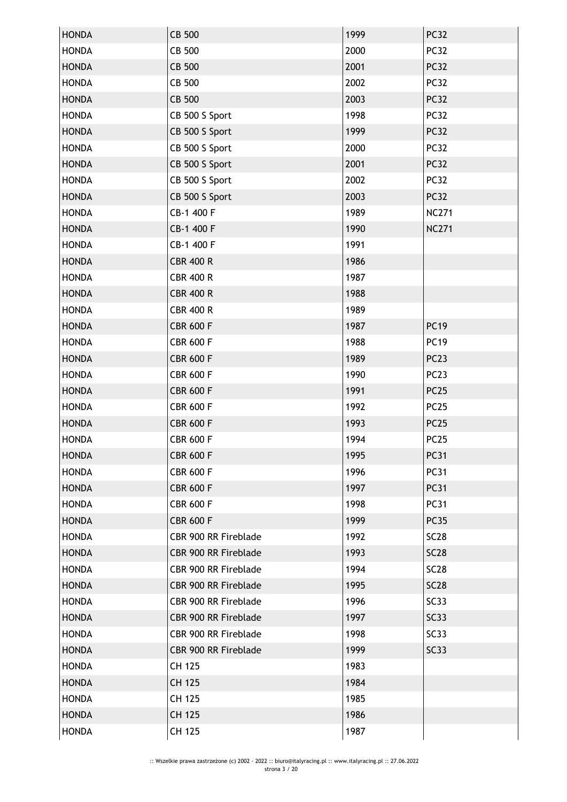| <b>HONDA</b> | CB 500               | 1999 | <b>PC32</b>      |
|--------------|----------------------|------|------------------|
| <b>HONDA</b> | CB 500               | 2000 | <b>PC32</b>      |
| <b>HONDA</b> | <b>CB 500</b>        | 2001 | <b>PC32</b>      |
| <b>HONDA</b> | <b>CB 500</b>        | 2002 | <b>PC32</b>      |
| <b>HONDA</b> | CB 500               | 2003 | <b>PC32</b>      |
| <b>HONDA</b> | CB 500 S Sport       | 1998 | <b>PC32</b>      |
| <b>HONDA</b> | CB 500 S Sport       | 1999 | <b>PC32</b>      |
| <b>HONDA</b> | CB 500 S Sport       | 2000 | <b>PC32</b>      |
| <b>HONDA</b> | CB 500 S Sport       | 2001 | <b>PC32</b>      |
| <b>HONDA</b> | CB 500 S Sport       | 2002 | <b>PC32</b>      |
| <b>HONDA</b> | CB 500 S Sport       | 2003 | <b>PC32</b>      |
| <b>HONDA</b> | CB-1 400 F           | 1989 | <b>NC271</b>     |
| <b>HONDA</b> | CB-1 400 F           | 1990 | <b>NC271</b>     |
| <b>HONDA</b> | CB-1 400 F           | 1991 |                  |
| <b>HONDA</b> | <b>CBR 400 R</b>     | 1986 |                  |
| <b>HONDA</b> | <b>CBR 400 R</b>     | 1987 |                  |
| <b>HONDA</b> | <b>CBR 400 R</b>     | 1988 |                  |
| <b>HONDA</b> | <b>CBR 400 R</b>     | 1989 |                  |
| <b>HONDA</b> | <b>CBR 600 F</b>     | 1987 | <b>PC19</b>      |
| <b>HONDA</b> | <b>CBR 600 F</b>     | 1988 | <b>PC19</b>      |
| <b>HONDA</b> | <b>CBR 600 F</b>     | 1989 | PC <sub>23</sub> |
| <b>HONDA</b> | <b>CBR 600 F</b>     | 1990 | PC <sub>23</sub> |
| <b>HONDA</b> | <b>CBR 600 F</b>     | 1991 | <b>PC25</b>      |
| <b>HONDA</b> | <b>CBR 600 F</b>     | 1992 | <b>PC25</b>      |
| <b>HONDA</b> | <b>CBR 600 F</b>     | 1993 | <b>PC25</b>      |
| <b>HONDA</b> | <b>CBR 600 F</b>     | 1994 | <b>PC25</b>      |
| <b>HONDA</b> | <b>CBR 600 F</b>     | 1995 | <b>PC31</b>      |
| <b>HONDA</b> | <b>CBR 600 F</b>     | 1996 | <b>PC31</b>      |
| <b>HONDA</b> | <b>CBR 600 F</b>     | 1997 | <b>PC31</b>      |
| <b>HONDA</b> | <b>CBR 600 F</b>     | 1998 | <b>PC31</b>      |
| <b>HONDA</b> | <b>CBR 600 F</b>     | 1999 | <b>PC35</b>      |
| <b>HONDA</b> | CBR 900 RR Fireblade | 1992 | <b>SC28</b>      |
| <b>HONDA</b> | CBR 900 RR Fireblade | 1993 | <b>SC28</b>      |
| <b>HONDA</b> | CBR 900 RR Fireblade | 1994 | <b>SC28</b>      |
| <b>HONDA</b> | CBR 900 RR Fireblade | 1995 | <b>SC28</b>      |
| <b>HONDA</b> | CBR 900 RR Fireblade | 1996 | SC33             |
| <b>HONDA</b> | CBR 900 RR Fireblade | 1997 | SC33             |
| <b>HONDA</b> | CBR 900 RR Fireblade | 1998 | SC33             |
| <b>HONDA</b> | CBR 900 RR Fireblade | 1999 | SC33             |
| <b>HONDA</b> | CH 125               | 1983 |                  |
| <b>HONDA</b> | <b>CH 125</b>        | 1984 |                  |
| <b>HONDA</b> | CH 125               | 1985 |                  |
| <b>HONDA</b> | CH 125               | 1986 |                  |
| <b>HONDA</b> | CH 125               | 1987 |                  |
|              |                      |      |                  |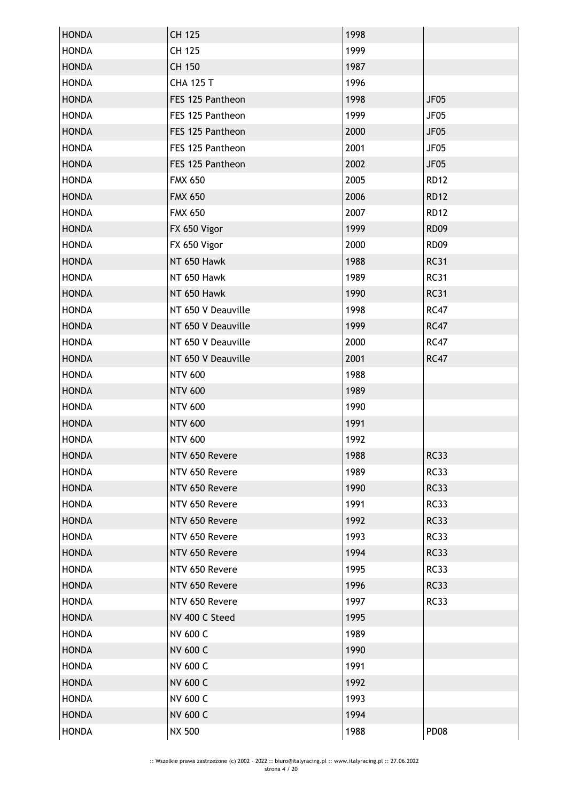| <b>HONDA</b> | CH 125             | 1998 |                  |
|--------------|--------------------|------|------------------|
| <b>HONDA</b> | CH 125             | 1999 |                  |
| <b>HONDA</b> | CH 150             | 1987 |                  |
| <b>HONDA</b> | <b>CHA 125 T</b>   | 1996 |                  |
| <b>HONDA</b> | FES 125 Pantheon   | 1998 | <b>JF05</b>      |
| <b>HONDA</b> | FES 125 Pantheon   | 1999 | JF05             |
| <b>HONDA</b> | FES 125 Pantheon   | 2000 | <b>JF05</b>      |
| <b>HONDA</b> | FES 125 Pantheon   | 2001 | JF05             |
| <b>HONDA</b> | FES 125 Pantheon   | 2002 | JF <sub>05</sub> |
| <b>HONDA</b> | <b>FMX 650</b>     | 2005 | <b>RD12</b>      |
| <b>HONDA</b> | <b>FMX 650</b>     | 2006 | <b>RD12</b>      |
| <b>HONDA</b> | <b>FMX 650</b>     | 2007 | <b>RD12</b>      |
| <b>HONDA</b> | FX 650 Vigor       | 1999 | <b>RD09</b>      |
| <b>HONDA</b> | FX 650 Vigor       | 2000 | <b>RD09</b>      |
| <b>HONDA</b> | NT 650 Hawk        | 1988 | <b>RC31</b>      |
| <b>HONDA</b> | NT 650 Hawk        | 1989 | <b>RC31</b>      |
| <b>HONDA</b> | NT 650 Hawk        | 1990 | <b>RC31</b>      |
| <b>HONDA</b> | NT 650 V Deauville | 1998 | <b>RC47</b>      |
| <b>HONDA</b> | NT 650 V Deauville | 1999 | <b>RC47</b>      |
| <b>HONDA</b> | NT 650 V Deauville | 2000 | <b>RC47</b>      |
| <b>HONDA</b> | NT 650 V Deauville | 2001 | <b>RC47</b>      |
| <b>HONDA</b> | <b>NTV 600</b>     | 1988 |                  |
| <b>HONDA</b> | <b>NTV 600</b>     | 1989 |                  |
| <b>HONDA</b> | <b>NTV 600</b>     | 1990 |                  |
| <b>HONDA</b> | <b>NTV 600</b>     | 1991 |                  |
| <b>HONDA</b> | <b>NTV 600</b>     | 1992 |                  |
| <b>HONDA</b> | NTV 650 Revere     | 1988 | <b>RC33</b>      |
| <b>HONDA</b> | NTV 650 Revere     | 1989 | <b>RC33</b>      |
| <b>HONDA</b> | NTV 650 Revere     | 1990 | <b>RC33</b>      |
| <b>HONDA</b> | NTV 650 Revere     | 1991 | <b>RC33</b>      |
| <b>HONDA</b> | NTV 650 Revere     | 1992 | <b>RC33</b>      |
| <b>HONDA</b> | NTV 650 Revere     | 1993 | <b>RC33</b>      |
| <b>HONDA</b> | NTV 650 Revere     | 1994 | <b>RC33</b>      |
| <b>HONDA</b> | NTV 650 Revere     | 1995 | <b>RC33</b>      |
| <b>HONDA</b> | NTV 650 Revere     | 1996 | <b>RC33</b>      |
| <b>HONDA</b> | NTV 650 Revere     | 1997 | <b>RC33</b>      |
| <b>HONDA</b> | NV 400 C Steed     | 1995 |                  |
| <b>HONDA</b> | <b>NV 600 C</b>    | 1989 |                  |
| <b>HONDA</b> | NV 600 C           | 1990 |                  |
| <b>HONDA</b> | NV 600 C           | 1991 |                  |
| <b>HONDA</b> | <b>NV 600 C</b>    | 1992 |                  |
| <b>HONDA</b> | <b>NV 600 C</b>    | 1993 |                  |
| <b>HONDA</b> | <b>NV 600 C</b>    | 1994 |                  |
| <b>HONDA</b> | <b>NX 500</b>      | 1988 | PD <sub>08</sub> |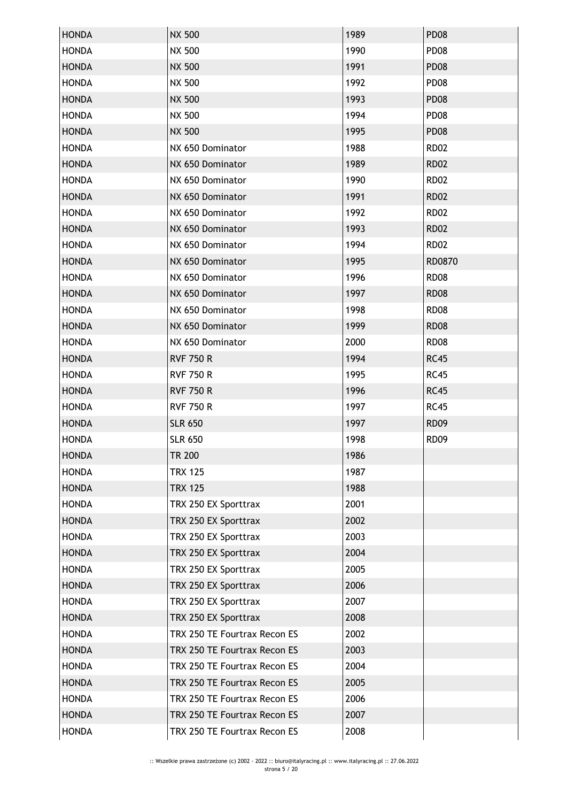| <b>HONDA</b> | <b>NX 500</b>                | 1989 | <b>PD08</b> |
|--------------|------------------------------|------|-------------|
| <b>HONDA</b> | <b>NX 500</b>                | 1990 | <b>PD08</b> |
| <b>HONDA</b> | <b>NX 500</b>                | 1991 | <b>PD08</b> |
| <b>HONDA</b> | <b>NX 500</b>                | 1992 | <b>PD08</b> |
| <b>HONDA</b> | <b>NX 500</b>                | 1993 | <b>PD08</b> |
| <b>HONDA</b> | <b>NX 500</b>                | 1994 | <b>PD08</b> |
| <b>HONDA</b> | <b>NX 500</b>                | 1995 | <b>PD08</b> |
| <b>HONDA</b> | NX 650 Dominator             | 1988 | <b>RD02</b> |
| <b>HONDA</b> | NX 650 Dominator             | 1989 | <b>RD02</b> |
| <b>HONDA</b> | NX 650 Dominator             | 1990 | <b>RD02</b> |
| <b>HONDA</b> | NX 650 Dominator             | 1991 | <b>RD02</b> |
| <b>HONDA</b> | NX 650 Dominator             | 1992 | <b>RD02</b> |
| <b>HONDA</b> | NX 650 Dominator             | 1993 | <b>RD02</b> |
| <b>HONDA</b> | NX 650 Dominator             | 1994 | <b>RD02</b> |
| <b>HONDA</b> | NX 650 Dominator             | 1995 | RD0870      |
| <b>HONDA</b> | NX 650 Dominator             | 1996 | <b>RD08</b> |
| <b>HONDA</b> | NX 650 Dominator             | 1997 | <b>RD08</b> |
| <b>HONDA</b> | NX 650 Dominator             | 1998 | <b>RD08</b> |
| <b>HONDA</b> | NX 650 Dominator             | 1999 | <b>RD08</b> |
| <b>HONDA</b> | NX 650 Dominator             | 2000 | <b>RD08</b> |
| <b>HONDA</b> | <b>RVF 750 R</b>             | 1994 | <b>RC45</b> |
| <b>HONDA</b> | <b>RVF 750 R</b>             | 1995 | <b>RC45</b> |
| <b>HONDA</b> | <b>RVF 750 R</b>             | 1996 | <b>RC45</b> |
| <b>HONDA</b> | <b>RVF 750 R</b>             | 1997 | <b>RC45</b> |
| <b>HONDA</b> | <b>SLR 650</b>               | 1997 | <b>RD09</b> |
| <b>HONDA</b> | <b>SLR 650</b>               | 1998 | <b>RD09</b> |
| <b>HONDA</b> | <b>TR 200</b>                | 1986 |             |
| <b>HONDA</b> | <b>TRX 125</b>               | 1987 |             |
| <b>HONDA</b> | <b>TRX 125</b>               | 1988 |             |
| <b>HONDA</b> | TRX 250 EX Sporttrax         | 2001 |             |
| <b>HONDA</b> | TRX 250 EX Sporttrax         | 2002 |             |
| <b>HONDA</b> | TRX 250 EX Sporttrax         | 2003 |             |
| <b>HONDA</b> | TRX 250 EX Sporttrax         | 2004 |             |
| <b>HONDA</b> | TRX 250 EX Sporttrax         | 2005 |             |
| <b>HONDA</b> | TRX 250 EX Sporttrax         | 2006 |             |
| <b>HONDA</b> | TRX 250 EX Sporttrax         | 2007 |             |
| <b>HONDA</b> | TRX 250 EX Sporttrax         | 2008 |             |
| <b>HONDA</b> | TRX 250 TE Fourtrax Recon ES | 2002 |             |
| <b>HONDA</b> | TRX 250 TE Fourtrax Recon ES | 2003 |             |
| <b>HONDA</b> | TRX 250 TE Fourtrax Recon ES | 2004 |             |
| <b>HONDA</b> | TRX 250 TE Fourtrax Recon ES | 2005 |             |
| <b>HONDA</b> | TRX 250 TE Fourtrax Recon ES | 2006 |             |
| <b>HONDA</b> | TRX 250 TE Fourtrax Recon ES | 2007 |             |
| <b>HONDA</b> | TRX 250 TE Fourtrax Recon ES | 2008 |             |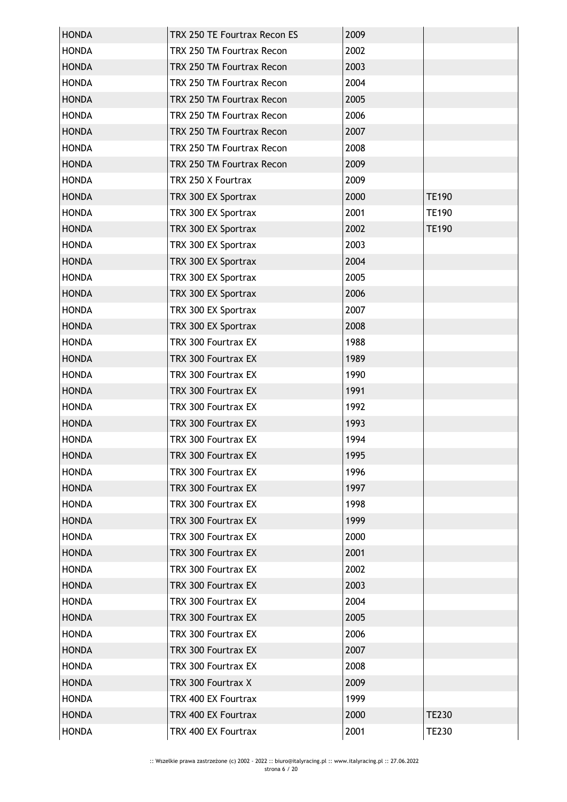| <b>HONDA</b> | TRX 250 TE Fourtrax Recon ES | 2009 |              |
|--------------|------------------------------|------|--------------|
| <b>HONDA</b> | TRX 250 TM Fourtrax Recon    | 2002 |              |
| <b>HONDA</b> | TRX 250 TM Fourtrax Recon    | 2003 |              |
| <b>HONDA</b> | TRX 250 TM Fourtrax Recon    | 2004 |              |
| <b>HONDA</b> | TRX 250 TM Fourtrax Recon    | 2005 |              |
| <b>HONDA</b> | TRX 250 TM Fourtrax Recon    | 2006 |              |
| <b>HONDA</b> | TRX 250 TM Fourtrax Recon    | 2007 |              |
| <b>HONDA</b> | TRX 250 TM Fourtrax Recon    | 2008 |              |
| <b>HONDA</b> | TRX 250 TM Fourtrax Recon    | 2009 |              |
| <b>HONDA</b> | TRX 250 X Fourtrax           | 2009 |              |
| <b>HONDA</b> | TRX 300 EX Sportrax          | 2000 | <b>TE190</b> |
| <b>HONDA</b> | TRX 300 EX Sportrax          | 2001 | <b>TE190</b> |
| <b>HONDA</b> | TRX 300 EX Sportrax          | 2002 | <b>TE190</b> |
| <b>HONDA</b> | TRX 300 EX Sportrax          | 2003 |              |
| <b>HONDA</b> | TRX 300 EX Sportrax          | 2004 |              |
| <b>HONDA</b> | TRX 300 EX Sportrax          | 2005 |              |
| <b>HONDA</b> | TRX 300 EX Sportrax          | 2006 |              |
| <b>HONDA</b> | TRX 300 EX Sportrax          | 2007 |              |
| <b>HONDA</b> | TRX 300 EX Sportrax          | 2008 |              |
| <b>HONDA</b> | TRX 300 Fourtrax EX          | 1988 |              |
| <b>HONDA</b> | TRX 300 Fourtrax EX          | 1989 |              |
| <b>HONDA</b> | TRX 300 Fourtrax EX          | 1990 |              |
| <b>HONDA</b> | TRX 300 Fourtrax EX          | 1991 |              |
| <b>HONDA</b> | TRX 300 Fourtrax EX          | 1992 |              |
| <b>HONDA</b> | TRX 300 Fourtrax EX          | 1993 |              |
| <b>HONDA</b> | TRX 300 Fourtrax EX          | 1994 |              |
| <b>HONDA</b> | TRX 300 Fourtrax EX          | 1995 |              |
| <b>HONDA</b> | TRX 300 Fourtrax EX          | 1996 |              |
| <b>HONDA</b> | TRX 300 Fourtrax EX          | 1997 |              |
| <b>HONDA</b> | TRX 300 Fourtrax EX          | 1998 |              |
| <b>HONDA</b> | TRX 300 Fourtrax EX          | 1999 |              |
| <b>HONDA</b> | TRX 300 Fourtrax EX          | 2000 |              |
| <b>HONDA</b> | TRX 300 Fourtrax EX          | 2001 |              |
| <b>HONDA</b> | TRX 300 Fourtrax EX          | 2002 |              |
| <b>HONDA</b> | TRX 300 Fourtrax EX          | 2003 |              |
| <b>HONDA</b> | TRX 300 Fourtrax EX          | 2004 |              |
| <b>HONDA</b> | TRX 300 Fourtrax EX          | 2005 |              |
| <b>HONDA</b> | TRX 300 Fourtrax EX          | 2006 |              |
| <b>HONDA</b> | TRX 300 Fourtrax EX          | 2007 |              |
| <b>HONDA</b> | TRX 300 Fourtrax EX          | 2008 |              |
| <b>HONDA</b> | TRX 300 Fourtrax X           | 2009 |              |
| <b>HONDA</b> | TRX 400 EX Fourtrax          | 1999 |              |
| <b>HONDA</b> | TRX 400 EX Fourtrax          | 2000 | <b>TE230</b> |
| <b>HONDA</b> | TRX 400 EX Fourtrax          | 2001 | <b>TE230</b> |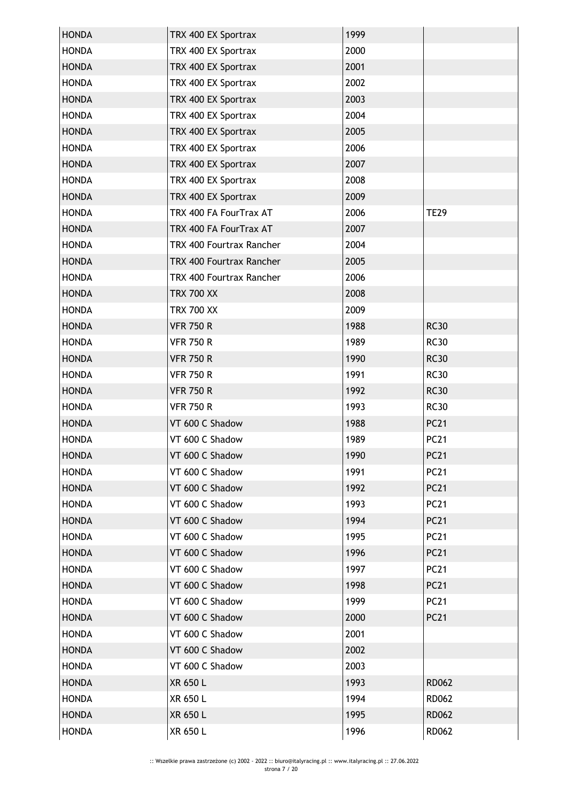| <b>HONDA</b> | TRX 400 EX Sportrax      | 1999 |              |
|--------------|--------------------------|------|--------------|
| <b>HONDA</b> | TRX 400 EX Sportrax      | 2000 |              |
| <b>HONDA</b> | TRX 400 EX Sportrax      | 2001 |              |
| <b>HONDA</b> | TRX 400 EX Sportrax      | 2002 |              |
| <b>HONDA</b> | TRX 400 EX Sportrax      | 2003 |              |
| <b>HONDA</b> | TRX 400 EX Sportrax      | 2004 |              |
| <b>HONDA</b> | TRX 400 EX Sportrax      | 2005 |              |
| <b>HONDA</b> | TRX 400 EX Sportrax      | 2006 |              |
| <b>HONDA</b> | TRX 400 EX Sportrax      | 2007 |              |
| <b>HONDA</b> | TRX 400 EX Sportrax      | 2008 |              |
| <b>HONDA</b> | TRX 400 EX Sportrax      | 2009 |              |
| <b>HONDA</b> | TRX 400 FA FourTrax AT   | 2006 | <b>TE29</b>  |
| <b>HONDA</b> | TRX 400 FA FourTrax AT   | 2007 |              |
| <b>HONDA</b> | TRX 400 Fourtrax Rancher | 2004 |              |
| <b>HONDA</b> | TRX 400 Fourtrax Rancher | 2005 |              |
| <b>HONDA</b> | TRX 400 Fourtrax Rancher | 2006 |              |
| <b>HONDA</b> | <b>TRX 700 XX</b>        | 2008 |              |
| <b>HONDA</b> | <b>TRX 700 XX</b>        | 2009 |              |
| <b>HONDA</b> | <b>VFR 750 R</b>         | 1988 | <b>RC30</b>  |
| <b>HONDA</b> | <b>VFR 750 R</b>         | 1989 | <b>RC30</b>  |
| <b>HONDA</b> | <b>VFR 750 R</b>         | 1990 | <b>RC30</b>  |
| <b>HONDA</b> | <b>VFR 750 R</b>         | 1991 | <b>RC30</b>  |
| <b>HONDA</b> | <b>VFR 750 R</b>         | 1992 | <b>RC30</b>  |
| <b>HONDA</b> | <b>VFR 750 R</b>         | 1993 | <b>RC30</b>  |
| <b>HONDA</b> | VT 600 C Shadow          | 1988 | <b>PC21</b>  |
| <b>HONDA</b> | VT 600 C Shadow          | 1989 | <b>PC21</b>  |
| <b>HONDA</b> | VT 600 C Shadow          | 1990 | <b>PC21</b>  |
| <b>HONDA</b> | VT 600 C Shadow          | 1991 | <b>PC21</b>  |
| <b>HONDA</b> | VT 600 C Shadow          | 1992 | <b>PC21</b>  |
| <b>HONDA</b> | VT 600 C Shadow          | 1993 | <b>PC21</b>  |
| <b>HONDA</b> | VT 600 C Shadow          | 1994 | <b>PC21</b>  |
| <b>HONDA</b> | VT 600 C Shadow          | 1995 | <b>PC21</b>  |
| <b>HONDA</b> | VT 600 C Shadow          | 1996 | <b>PC21</b>  |
| <b>HONDA</b> | VT 600 C Shadow          | 1997 | <b>PC21</b>  |
| <b>HONDA</b> | VT 600 C Shadow          | 1998 | <b>PC21</b>  |
| <b>HONDA</b> | VT 600 C Shadow          | 1999 | <b>PC21</b>  |
| <b>HONDA</b> | VT 600 C Shadow          | 2000 | <b>PC21</b>  |
| <b>HONDA</b> | VT 600 C Shadow          | 2001 |              |
| <b>HONDA</b> | VT 600 C Shadow          | 2002 |              |
| <b>HONDA</b> | VT 600 C Shadow          | 2003 |              |
| <b>HONDA</b> | XR 650 L                 | 1993 | <b>RD062</b> |
| <b>HONDA</b> | XR 650 L                 | 1994 | <b>RD062</b> |
| <b>HONDA</b> | XR 650 L                 | 1995 | <b>RD062</b> |
| <b>HONDA</b> | XR 650 L                 | 1996 | <b>RD062</b> |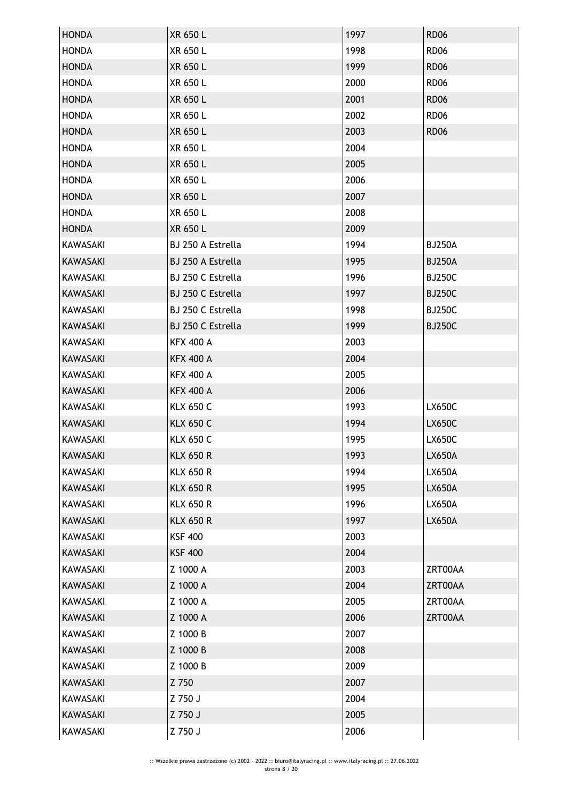| <b>HONDA</b>    | XR 650 L          | 1997 | <b>RD06</b>   |
|-----------------|-------------------|------|---------------|
| <b>HONDA</b>    | XR 650 L          | 1998 | <b>RD06</b>   |
| <b>HONDA</b>    | XR 650 L          | 1999 | <b>RD06</b>   |
| <b>HONDA</b>    | XR 650 L          | 2000 | <b>RD06</b>   |
| <b>HONDA</b>    | XR 650 L          | 2001 | <b>RD06</b>   |
| <b>HONDA</b>    | XR 650 L          | 2002 | <b>RD06</b>   |
| <b>HONDA</b>    | XR 650 L          | 2003 | <b>RD06</b>   |
| <b>HONDA</b>    | XR 650 L          | 2004 |               |
| <b>HONDA</b>    | XR 650 L          | 2005 |               |
| <b>HONDA</b>    | XR 650 L          | 2006 |               |
| <b>HONDA</b>    | <b>XR 650 L</b>   | 2007 |               |
| <b>HONDA</b>    | XR 650 L          | 2008 |               |
| <b>HONDA</b>    | <b>XR 650 L</b>   | 2009 |               |
| <b>KAWASAKI</b> | BJ 250 A Estrella | 1994 | <b>BJ250A</b> |
| <b>KAWASAKI</b> | BJ 250 A Estrella | 1995 | <b>BJ250A</b> |
| <b>KAWASAKI</b> | BJ 250 C Estrella | 1996 | <b>BJ250C</b> |
| <b>KAWASAKI</b> | BJ 250 C Estrella | 1997 | <b>BJ250C</b> |
| <b>KAWASAKI</b> | BJ 250 C Estrella | 1998 | <b>BJ250C</b> |
| <b>KAWASAKI</b> | BJ 250 C Estrella | 1999 | <b>BJ250C</b> |
| <b>KAWASAKI</b> | <b>KFX 400 A</b>  | 2003 |               |
| <b>KAWASAKI</b> | <b>KFX 400 A</b>  | 2004 |               |
| <b>KAWASAKI</b> | <b>KFX 400 A</b>  | 2005 |               |
| <b>KAWASAKI</b> | <b>KFX 400 A</b>  | 2006 |               |
| <b>KAWASAKI</b> | <b>KLX 650 C</b>  | 1993 | <b>LX650C</b> |
| KAWASAKI        | <b>KLX 650 C</b>  | 1994 | <b>LX650C</b> |
| <b>KAWASAKI</b> | <b>KLX 650 C</b>  | 1995 | <b>LX650C</b> |
| <b>KAWASAKI</b> | <b>KLX 650 R</b>  | 1993 | <b>LX650A</b> |
| <b>KAWASAKI</b> | <b>KLX 650 R</b>  | 1994 | <b>LX650A</b> |
| <b>KAWASAKI</b> | <b>KLX 650 R</b>  | 1995 | <b>LX650A</b> |
| <b>KAWASAKI</b> | <b>KLX 650 R</b>  | 1996 | <b>LX650A</b> |
| <b>KAWASAKI</b> | <b>KLX 650 R</b>  | 1997 | <b>LX650A</b> |
| <b>KAWASAKI</b> | <b>KSF 400</b>    | 2003 |               |
| <b>KAWASAKI</b> | <b>KSF 400</b>    | 2004 |               |
| <b>KAWASAKI</b> | Z 1000 A          | 2003 | ZRT00AA       |
| <b>KAWASAKI</b> | Z 1000 A          | 2004 | ZRT00AA       |
| KAWASAKI        | Z 1000 A          | 2005 | ZRT00AA       |
| <b>KAWASAKI</b> | Z 1000 A          | 2006 | ZRT00AA       |
| KAWASAKI        | Z 1000 B          | 2007 |               |
| <b>KAWASAKI</b> | Z 1000 B          | 2008 |               |
| <b>KAWASAKI</b> | Z 1000 B          | 2009 |               |
| <b>KAWASAKI</b> | Z 750             | 2007 |               |
| <b>KAWASAKI</b> | Z 750 J           | 2004 |               |
| <b>KAWASAKI</b> | Z 750 J           | 2005 |               |
| KAWASAKI        | Z 750 J           | 2006 |               |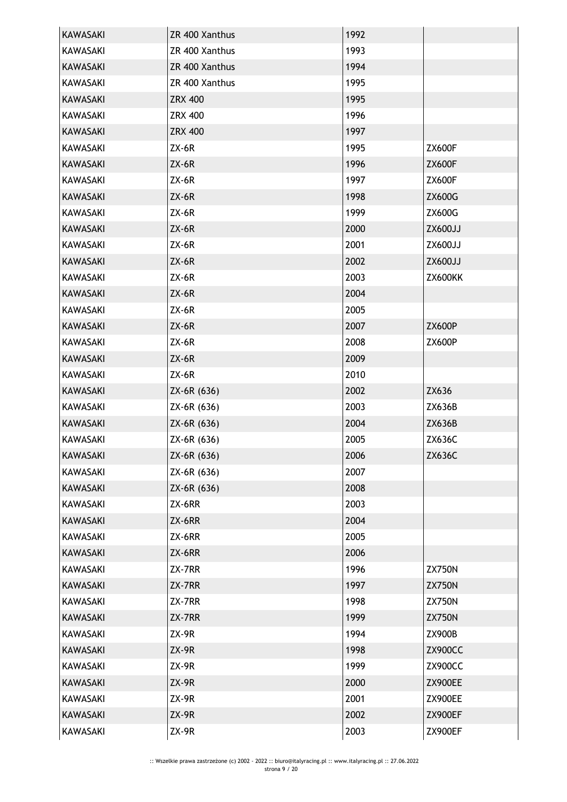| <b>KAWASAKI</b> | ZR 400 Xanthus | 1992 |                |
|-----------------|----------------|------|----------------|
| KAWASAKI        | ZR 400 Xanthus | 1993 |                |
| <b>KAWASAKI</b> | ZR 400 Xanthus | 1994 |                |
| <b>KAWASAKI</b> | ZR 400 Xanthus | 1995 |                |
| <b>KAWASAKI</b> | <b>ZRX 400</b> | 1995 |                |
| KAWASAKI        | <b>ZRX 400</b> | 1996 |                |
| <b>KAWASAKI</b> | <b>ZRX 400</b> | 1997 |                |
| KAWASAKI        | $ZX-6R$        | 1995 | <b>ZX600F</b>  |
| <b>KAWASAKI</b> | $ZX-6R$        | 1996 | <b>ZX600F</b>  |
| <b>KAWASAKI</b> | $ZX-6R$        | 1997 | <b>ZX600F</b>  |
| <b>KAWASAKI</b> | $ZX-6R$        | 1998 | <b>ZX600G</b>  |
| <b>KAWASAKI</b> | $ZX-6R$        | 1999 | ZX600G         |
| <b>KAWASAKI</b> | $ZX-6R$        | 2000 | <b>ZX600JJ</b> |
| <b>KAWASAKI</b> | $ZX-6R$        | 2001 | ZX600JJ        |
| <b>KAWASAKI</b> | $ZX-6R$        | 2002 | ZX600JJ        |
| <b>KAWASAKI</b> | $ZX-6R$        | 2003 | ZX600KK        |
| <b>KAWASAKI</b> | $ZX-6R$        | 2004 |                |
| <b>KAWASAKI</b> | $ZX-6R$        | 2005 |                |
| <b>KAWASAKI</b> | $ZX-6R$        | 2007 | <b>ZX600P</b>  |
| KAWASAKI        | $ZX-6R$        | 2008 | <b>ZX600P</b>  |
| <b>KAWASAKI</b> | $ZX-6R$        | 2009 |                |
| <b>KAWASAKI</b> | $ZX-6R$        | 2010 |                |
| <b>KAWASAKI</b> | ZX-6R (636)    | 2002 | ZX636          |
| KAWASAKI        | ZX-6R (636)    | 2003 | ZX636B         |
| KAWASAKI        | ZX-6R (636)    | 2004 | ZX636B         |
| <b>KAWASAKI</b> | ZX-6R (636)    | 2005 | ZX636C         |
| KAWASAKI        | ZX-6R (636)    | 2006 | ZX636C         |
| KAWASAKI        | ZX-6R (636)    | 2007 |                |
| <b>KAWASAKI</b> | ZX-6R (636)    | 2008 |                |
| KAWASAKI        | ZX-6RR         | 2003 |                |
| <b>KAWASAKI</b> | ZX-6RR         | 2004 |                |
| KAWASAKI        | ZX-6RR         | 2005 |                |
| KAWASAKI        | ZX-6RR         | 2006 |                |
| <b>KAWASAKI</b> | ZX-7RR         | 1996 | <b>ZX750N</b>  |
| <b>KAWASAKI</b> | ZX-7RR         | 1997 | <b>ZX750N</b>  |
| KAWASAKI        | ZX-7RR         | 1998 | <b>ZX750N</b>  |
| KAWASAKI        | ZX-7RR         | 1999 | <b>ZX750N</b>  |
| KAWASAKI        | $ZX-9R$        | 1994 | ZX900B         |
| <b>KAWASAKI</b> | $ZX-9R$        | 1998 | ZX900CC        |
| KAWASAKI        | ZX-9R          | 1999 | ZX900CC        |
| <b>KAWASAKI</b> |                | 2000 | ZX900EE        |
|                 | $ZX-9R$        |      |                |
| KAWASAKI        | ZX-9R          | 2001 | ZX900EE        |
| KAWASAKI        | ZX-9R          | 2002 | ZX900EF        |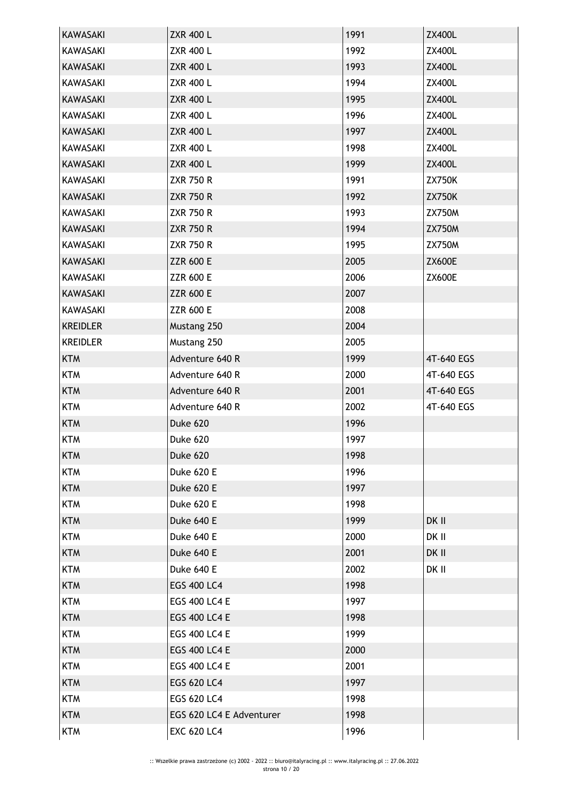| <b>KAWASAKI</b> | <b>ZXR 400 L</b>         | 1991 | <b>ZX400L</b> |
|-----------------|--------------------------|------|---------------|
| <b>KAWASAKI</b> | <b>ZXR 400 L</b>         | 1992 | <b>ZX400L</b> |
| <b>KAWASAKI</b> | <b>ZXR 400 L</b>         | 1993 | <b>ZX400L</b> |
| <b>KAWASAKI</b> | <b>ZXR 400 L</b>         | 1994 | <b>ZX400L</b> |
| KAWASAKI        | <b>ZXR 400 L</b>         | 1995 | <b>ZX400L</b> |
| KAWASAKI        | <b>ZXR 400 L</b>         | 1996 | <b>ZX400L</b> |
| KAWASAKI        | <b>ZXR 400 L</b>         | 1997 | <b>ZX400L</b> |
| <b>KAWASAKI</b> | <b>ZXR 400 L</b>         | 1998 | ZX400L        |
| <b>KAWASAKI</b> | <b>ZXR 400 L</b>         | 1999 | <b>ZX400L</b> |
| <b>KAWASAKI</b> | <b>ZXR 750 R</b>         | 1991 | <b>ZX750K</b> |
| <b>KAWASAKI</b> | <b>ZXR 750 R</b>         | 1992 | <b>ZX750K</b> |
| <b>KAWASAKI</b> | <b>ZXR 750 R</b>         | 1993 | <b>ZX750M</b> |
| <b>KAWASAKI</b> | <b>ZXR 750 R</b>         | 1994 | <b>ZX750M</b> |
| <b>KAWASAKI</b> | <b>ZXR 750 R</b>         | 1995 | <b>ZX750M</b> |
| <b>KAWASAKI</b> | <b>ZZR 600 E</b>         | 2005 | <b>ZX600E</b> |
| KAWASAKI        | <b>ZZR 600 E</b>         | 2006 | <b>ZX600E</b> |
| <b>KAWASAKI</b> | <b>ZZR 600 E</b>         | 2007 |               |
| <b>KAWASAKI</b> | <b>ZZR 600 E</b>         | 2008 |               |
| <b>KREIDLER</b> | Mustang 250              | 2004 |               |
| <b>KREIDLER</b> | Mustang 250              | 2005 |               |
| <b>KTM</b>      | Adventure 640 R          | 1999 | 4T-640 EGS    |
| <b>KTM</b>      | Adventure 640 R          | 2000 | 4T-640 EGS    |
| <b>KTM</b>      | Adventure 640 R          | 2001 | 4T-640 EGS    |
| <b>KTM</b>      | Adventure 640 R          | 2002 | 4T-640 EGS    |
| <b>KTM</b>      | Duke 620                 | 1996 |               |
| <b>KTM</b>      | Duke 620                 | 1997 |               |
| <b>KTM</b>      | Duke 620                 | 1998 |               |
| <b>KTM</b>      | <b>Duke 620 E</b>        | 1996 |               |
| <b>KTM</b>      | <b>Duke 620 E</b>        | 1997 |               |
| <b>KTM</b>      | Duke 620 E               | 1998 |               |
| <b>KTM</b>      | Duke 640 E               | 1999 | DK II         |
| <b>KTM</b>      | Duke 640 E               | 2000 | DK II         |
| <b>KTM</b>      | Duke 640 E               | 2001 | DK II         |
| <b>KTM</b>      | Duke 640 E               | 2002 | DK II         |
| <b>KTM</b>      | <b>EGS 400 LC4</b>       | 1998 |               |
| <b>KTM</b>      | <b>EGS 400 LC4 E</b>     | 1997 |               |
| <b>KTM</b>      | <b>EGS 400 LC4 E</b>     | 1998 |               |
| <b>KTM</b>      | <b>EGS 400 LC4 E</b>     | 1999 |               |
| <b>KTM</b>      | <b>EGS 400 LC4 E</b>     | 2000 |               |
| <b>KTM</b>      | <b>EGS 400 LC4 E</b>     | 2001 |               |
| <b>KTM</b>      | EGS 620 LC4              | 1997 |               |
| <b>KTM</b>      | EGS 620 LC4              | 1998 |               |
| <b>KTM</b>      | EGS 620 LC4 E Adventurer | 1998 |               |
| <b>KTM</b>      | <b>EXC 620 LC4</b>       | 1996 |               |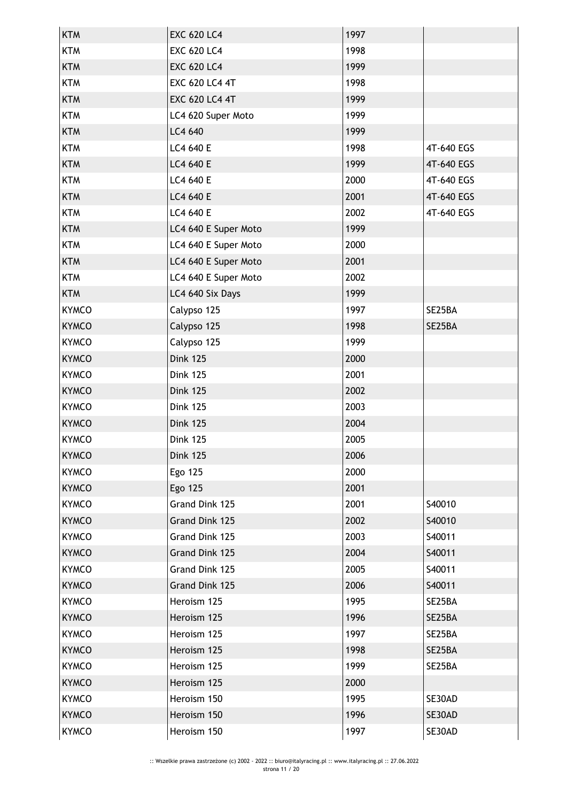| <b>KTM</b>   | <b>EXC 620 LC4</b>    | 1997 |            |
|--------------|-----------------------|------|------------|
| <b>KTM</b>   | <b>EXC 620 LC4</b>    | 1998 |            |
| <b>KTM</b>   | <b>EXC 620 LC4</b>    | 1999 |            |
| <b>KTM</b>   | <b>EXC 620 LC4 4T</b> | 1998 |            |
| <b>KTM</b>   | <b>EXC 620 LC4 4T</b> | 1999 |            |
| <b>KTM</b>   | LC4 620 Super Moto    | 1999 |            |
| <b>KTM</b>   | LC4 640               | 1999 |            |
| <b>KTM</b>   | LC4 640 E             | 1998 | 4T-640 EGS |
| <b>KTM</b>   | LC4 640 E             | 1999 | 4T-640 EGS |
| <b>KTM</b>   | LC4 640 E             | 2000 | 4T-640 EGS |
| <b>KTM</b>   | LC4 640 E             | 2001 | 4T-640 EGS |
| <b>KTM</b>   | LC4 640 E             | 2002 | 4T-640 EGS |
| <b>KTM</b>   | LC4 640 E Super Moto  | 1999 |            |
| <b>KTM</b>   | LC4 640 E Super Moto  | 2000 |            |
| <b>KTM</b>   | LC4 640 E Super Moto  | 2001 |            |
| <b>KTM</b>   | LC4 640 E Super Moto  | 2002 |            |
| <b>KTM</b>   | LC4 640 Six Days      | 1999 |            |
| <b>KYMCO</b> | Calypso 125           | 1997 | SE25BA     |
| <b>KYMCO</b> | Calypso 125           | 1998 | SE25BA     |
| <b>KYMCO</b> | Calypso 125           | 1999 |            |
| <b>KYMCO</b> | <b>Dink 125</b>       | 2000 |            |
| <b>KYMCO</b> | <b>Dink 125</b>       | 2001 |            |
| <b>KYMCO</b> | <b>Dink 125</b>       | 2002 |            |
| <b>KYMCO</b> | <b>Dink 125</b>       | 2003 |            |
| <b>KYMCO</b> | <b>Dink 125</b>       | 2004 |            |
| <b>KYMCO</b> | <b>Dink 125</b>       | 2005 |            |
| <b>KYMCO</b> | <b>Dink 125</b>       | 2006 |            |
| <b>KYMCO</b> | Ego 125               | 2000 |            |
| <b>KYMCO</b> | Ego 125               | 2001 |            |
| <b>KYMCO</b> | Grand Dink 125        | 2001 | S40010     |
| <b>KYMCO</b> | Grand Dink 125        | 2002 | S40010     |
| <b>KYMCO</b> | Grand Dink 125        | 2003 | S40011     |
| <b>KYMCO</b> | Grand Dink 125        | 2004 | S40011     |
| <b>KYMCO</b> | Grand Dink 125        | 2005 | S40011     |
| <b>KYMCO</b> | Grand Dink 125        | 2006 | S40011     |
| <b>KYMCO</b> | Heroism 125           | 1995 | SE25BA     |
| <b>KYMCO</b> | Heroism 125           | 1996 | SE25BA     |
| <b>KYMCO</b> | Heroism 125           | 1997 | SE25BA     |
| <b>KYMCO</b> | Heroism 125           | 1998 | SE25BA     |
| <b>KYMCO</b> | Heroism 125           | 1999 | SE25BA     |
| <b>KYMCO</b> | Heroism 125           | 2000 |            |
| <b>KYMCO</b> | Heroism 150           | 1995 | SE30AD     |
| <b>KYMCO</b> | Heroism 150           | 1996 | SE30AD     |
| <b>KYMCO</b> | Heroism 150           | 1997 | SE30AD     |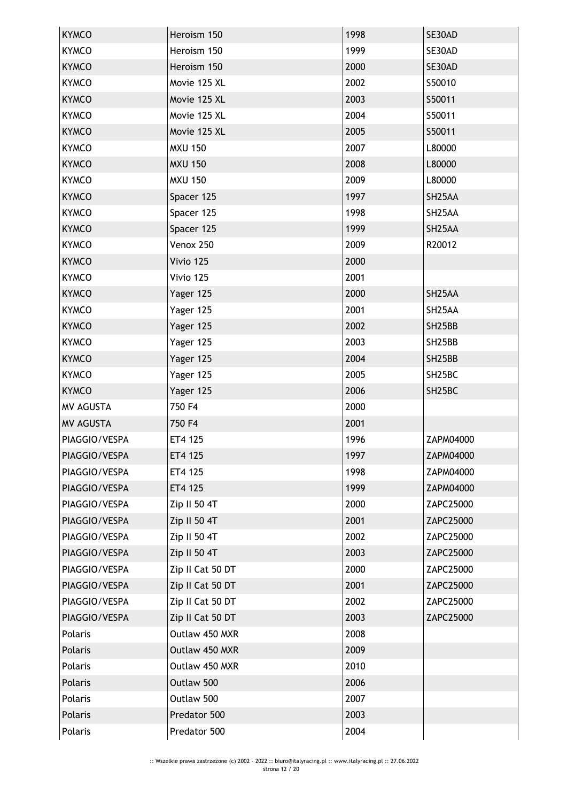| <b>KYMCO</b>     | Heroism 150      | 1998 | SE30AD              |
|------------------|------------------|------|---------------------|
| <b>KYMCO</b>     | Heroism 150      | 1999 | SE30AD              |
| <b>KYMCO</b>     | Heroism 150      | 2000 | SE30AD              |
| <b>KYMCO</b>     | Movie 125 XL     | 2002 | S50010              |
| <b>KYMCO</b>     | Movie 125 XL     | 2003 | S50011              |
| <b>KYMCO</b>     | Movie 125 XL     | 2004 | S50011              |
| <b>KYMCO</b>     | Movie 125 XL     | 2005 | S50011              |
| <b>KYMCO</b>     | <b>MXU 150</b>   | 2007 | L80000              |
| <b>KYMCO</b>     | <b>MXU 150</b>   | 2008 | L80000              |
| <b>KYMCO</b>     | <b>MXU 150</b>   | 2009 | L80000              |
| <b>KYMCO</b>     | Spacer 125       | 1997 | SH <sub>25</sub> AA |
| <b>KYMCO</b>     | Spacer 125       | 1998 | SH <sub>25</sub> AA |
| <b>KYMCO</b>     | Spacer 125       | 1999 | SH <sub>25</sub> AA |
| <b>KYMCO</b>     | Venox 250        | 2009 | R20012              |
| <b>KYMCO</b>     | Vivio 125        | 2000 |                     |
| <b>KYMCO</b>     | Vivio 125        | 2001 |                     |
| <b>KYMCO</b>     | Yager 125        | 2000 | SH <sub>25</sub> AA |
| <b>KYMCO</b>     | Yager 125        | 2001 | SH <sub>25</sub> AA |
| <b>KYMCO</b>     | Yager 125        | 2002 | SH25BB              |
| <b>KYMCO</b>     | Yager 125        | 2003 | SH25BB              |
| <b>KYMCO</b>     | Yager 125        | 2004 | SH25BB              |
| <b>KYMCO</b>     | Yager 125        | 2005 | SH25BC              |
| <b>KYMCO</b>     | Yager 125        | 2006 | SH <sub>25</sub> BC |
| <b>MV AGUSTA</b> | 750 F4           | 2000 |                     |
| MV AGUSTA        | 750 F4           | 2001 |                     |
| PIAGGIO/VESPA    | ET4 125          | 1996 | ZAPM04000           |
| PIAGGIO/VESPA    | ET4 125          | 1997 | ZAPM04000           |
| PIAGGIO/VESPA    | ET4 125          | 1998 | ZAPM04000           |
| PIAGGIO/VESPA    | ET4 125          | 1999 | ZAPM04000           |
| PIAGGIO/VESPA    | Zip II 50 4T     | 2000 | ZAPC25000           |
| PIAGGIO/VESPA    | Zip II 50 4T     | 2001 | ZAPC25000           |
| PIAGGIO/VESPA    | Zip II 50 4T     | 2002 | ZAPC25000           |
| PIAGGIO/VESPA    | Zip II 50 4T     | 2003 | ZAPC25000           |
| PIAGGIO/VESPA    | Zip II Cat 50 DT | 2000 | ZAPC25000           |
| PIAGGIO/VESPA    | Zip II Cat 50 DT | 2001 | ZAPC25000           |
| PIAGGIO/VESPA    | Zip II Cat 50 DT | 2002 | ZAPC25000           |
| PIAGGIO/VESPA    | Zip II Cat 50 DT | 2003 | ZAPC25000           |
| Polaris          | Outlaw 450 MXR   | 2008 |                     |
| Polaris          | Outlaw 450 MXR   | 2009 |                     |
| Polaris          | Outlaw 450 MXR   | 2010 |                     |
| Polaris          | Outlaw 500       | 2006 |                     |
| Polaris          | Outlaw 500       | 2007 |                     |
| Polaris          | Predator 500     | 2003 |                     |
| Polaris          | Predator 500     | 2004 |                     |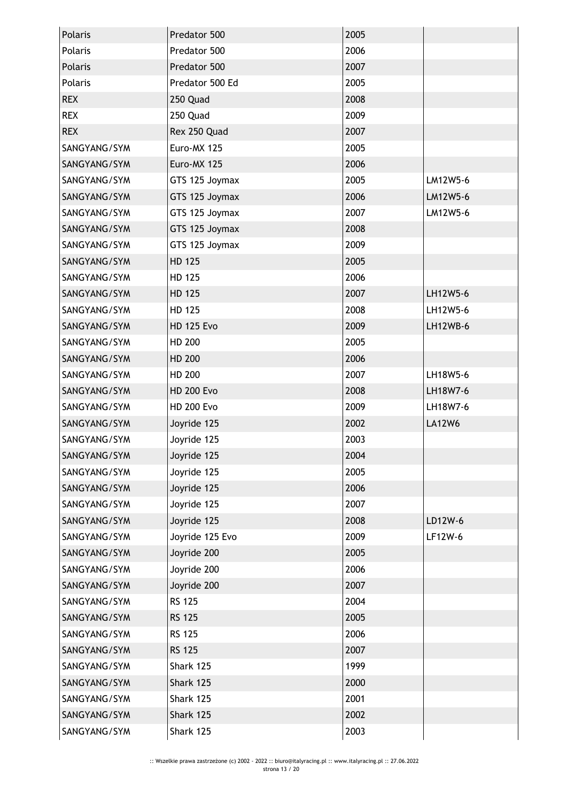| Polaris      | Predator 500      | 2005 |                 |
|--------------|-------------------|------|-----------------|
| Polaris      | Predator 500      | 2006 |                 |
| Polaris      | Predator 500      | 2007 |                 |
| Polaris      | Predator 500 Ed   | 2005 |                 |
| <b>REX</b>   | 250 Quad          | 2008 |                 |
| <b>REX</b>   | 250 Quad          | 2009 |                 |
| <b>REX</b>   | Rex 250 Quad      | 2007 |                 |
| SANGYANG/SYM | Euro-MX 125       | 2005 |                 |
| SANGYANG/SYM | Euro-MX 125       | 2006 |                 |
| SANGYANG/SYM | GTS 125 Joymax    | 2005 | LM12W5-6        |
| SANGYANG/SYM | GTS 125 Joymax    | 2006 | LM12W5-6        |
| SANGYANG/SYM | GTS 125 Joymax    | 2007 | LM12W5-6        |
| SANGYANG/SYM | GTS 125 Joymax    | 2008 |                 |
| SANGYANG/SYM | GTS 125 Joymax    | 2009 |                 |
| SANGYANG/SYM | HD 125            | 2005 |                 |
| SANGYANG/SYM | HD 125            | 2006 |                 |
| SANGYANG/SYM | <b>HD 125</b>     | 2007 | LH12W5-6        |
| SANGYANG/SYM | HD 125            | 2008 | LH12W5-6        |
| SANGYANG/SYM | <b>HD 125 Evo</b> | 2009 | <b>LH12WB-6</b> |
| SANGYANG/SYM | HD 200            | 2005 |                 |
| SANGYANG/SYM | HD 200            | 2006 |                 |
| SANGYANG/SYM | HD 200            | 2007 | LH18W5-6        |
| SANGYANG/SYM | <b>HD 200 Evo</b> | 2008 | LH18W7-6        |
| SANGYANG/SYM | <b>HD 200 Evo</b> | 2009 | LH18W7-6        |
| SANGYANG/SYM | Joyride 125       | 2002 | <b>LA12W6</b>   |
| SANGYANG/SYM | Joyride 125       | 2003 |                 |
| SANGYANG/SYM | Joyride 125       | 2004 |                 |
| SANGYANG/SYM | Joyride 125       | 2005 |                 |
| SANGYANG/SYM | Joyride 125       | 2006 |                 |
| SANGYANG/SYM | Joyride 125       | 2007 |                 |
| SANGYANG/SYM | Joyride 125       | 2008 | LD12W-6         |
| SANGYANG/SYM | Joyride 125 Evo   | 2009 | LF12W-6         |
| SANGYANG/SYM | Joyride 200       | 2005 |                 |
| SANGYANG/SYM | Joyride 200       | 2006 |                 |
| SANGYANG/SYM | Joyride 200       | 2007 |                 |
| SANGYANG/SYM | <b>RS 125</b>     | 2004 |                 |
| SANGYANG/SYM | <b>RS 125</b>     | 2005 |                 |
| SANGYANG/SYM | <b>RS 125</b>     | 2006 |                 |
| SANGYANG/SYM | <b>RS 125</b>     | 2007 |                 |
| SANGYANG/SYM | Shark 125         | 1999 |                 |
| SANGYANG/SYM | Shark 125         | 2000 |                 |
| SANGYANG/SYM | Shark 125         | 2001 |                 |
| SANGYANG/SYM | Shark 125         | 2002 |                 |
| SANGYANG/SYM | Shark 125         | 2003 |                 |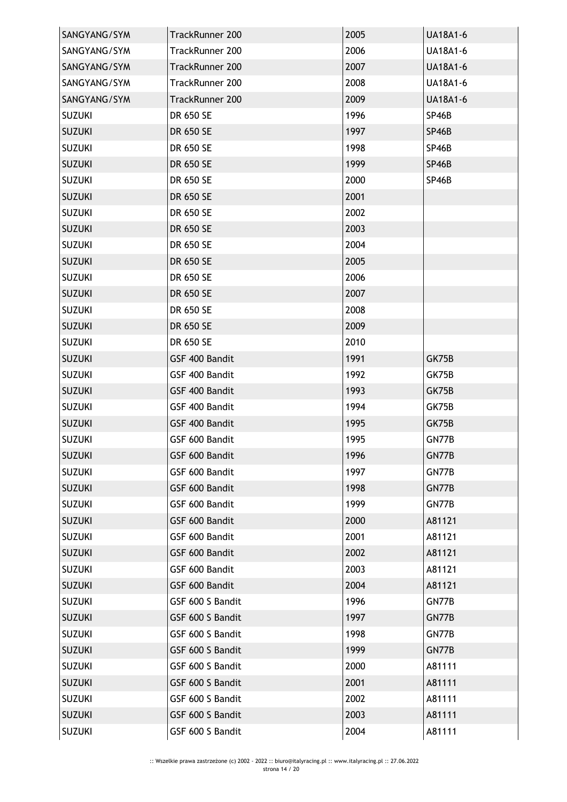| SANGYANG/SYM  | TrackRunner 200  | 2005 | <b>UA18A1-6</b> |
|---------------|------------------|------|-----------------|
| SANGYANG/SYM  | TrackRunner 200  | 2006 | <b>UA18A1-6</b> |
| SANGYANG/SYM  | TrackRunner 200  | 2007 | <b>UA18A1-6</b> |
| SANGYANG/SYM  | TrackRunner 200  | 2008 | <b>UA18A1-6</b> |
| SANGYANG/SYM  | TrackRunner 200  | 2009 | <b>UA18A1-6</b> |
| <b>SUZUKI</b> | DR 650 SE        | 1996 | SP46B           |
| <b>SUZUKI</b> | DR 650 SE        | 1997 | SP46B           |
| <b>SUZUKI</b> | DR 650 SE        | 1998 | SP46B           |
| <b>SUZUKI</b> | DR 650 SE        | 1999 | SP46B           |
| <b>SUZUKI</b> | DR 650 SE        | 2000 | SP46B           |
| <b>SUZUKI</b> | DR 650 SE        | 2001 |                 |
| <b>SUZUKI</b> | DR 650 SE        | 2002 |                 |
| <b>SUZUKI</b> | DR 650 SE        | 2003 |                 |
| <b>SUZUKI</b> | DR 650 SE        | 2004 |                 |
| <b>SUZUKI</b> | DR 650 SE        | 2005 |                 |
| <b>SUZUKI</b> | DR 650 SE        | 2006 |                 |
| <b>SUZUKI</b> | DR 650 SE        | 2007 |                 |
| <b>SUZUKI</b> | DR 650 SE        | 2008 |                 |
| <b>SUZUKI</b> | DR 650 SE        | 2009 |                 |
| <b>SUZUKI</b> | DR 650 SE        | 2010 |                 |
| <b>SUZUKI</b> | GSF 400 Bandit   | 1991 | GK75B           |
| <b>SUZUKI</b> | GSF 400 Bandit   | 1992 | GK75B           |
| <b>SUZUKI</b> | GSF 400 Bandit   | 1993 | GK75B           |
| <b>SUZUKI</b> | GSF 400 Bandit   | 1994 | GK75B           |
| <b>SUZUKI</b> | GSF 400 Bandit   | 1995 | GK75B           |
| <b>SUZUKI</b> | GSF 600 Bandit   | 1995 | GN77B           |
| <b>SUZUKI</b> | GSF 600 Bandit   | 1996 | GN77B           |
| <b>SUZUKI</b> | GSF 600 Bandit   | 1997 | GN77B           |
| <b>SUZUKI</b> | GSF 600 Bandit   | 1998 | GN77B           |
| <b>SUZUKI</b> | GSF 600 Bandit   | 1999 | GN77B           |
| <b>SUZUKI</b> | GSF 600 Bandit   | 2000 | A81121          |
| <b>SUZUKI</b> | GSF 600 Bandit   | 2001 | A81121          |
| <b>SUZUKI</b> | GSF 600 Bandit   | 2002 | A81121          |
| <b>SUZUKI</b> | GSF 600 Bandit   | 2003 | A81121          |
| <b>SUZUKI</b> | GSF 600 Bandit   | 2004 | A81121          |
| <b>SUZUKI</b> | GSF 600 S Bandit | 1996 | GN77B           |
| <b>SUZUKI</b> | GSF 600 S Bandit | 1997 | GN77B           |
| <b>SUZUKI</b> | GSF 600 S Bandit | 1998 | GN77B           |
| <b>SUZUKI</b> | GSF 600 S Bandit | 1999 | GN77B           |
| <b>SUZUKI</b> | GSF 600 S Bandit | 2000 | A81111          |
| <b>SUZUKI</b> | GSF 600 S Bandit | 2001 | A81111          |
| <b>SUZUKI</b> | GSF 600 S Bandit | 2002 | A81111          |
| <b>SUZUKI</b> | GSF 600 S Bandit | 2003 | A81111          |
| <b>SUZUKI</b> | GSF 600 S Bandit | 2004 | A81111          |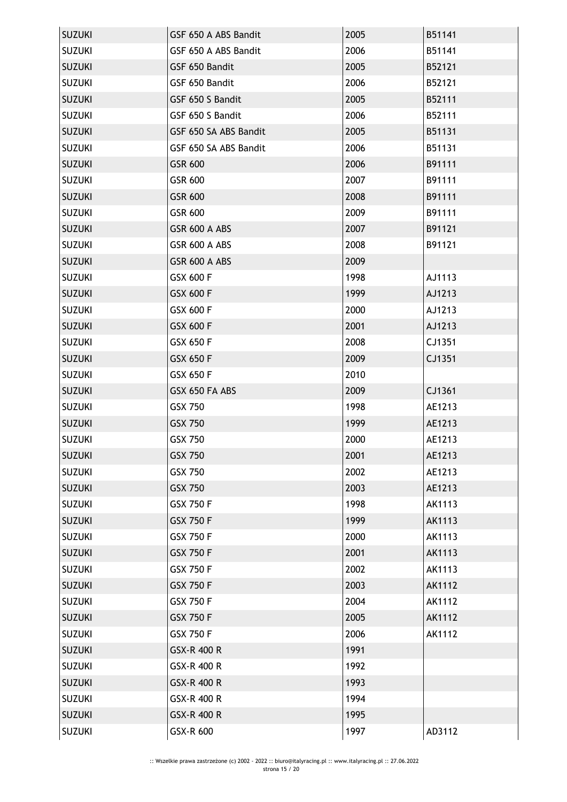| <b>SUZUKI</b> | GSF 650 A ABS Bandit  | 2005 | B51141        |
|---------------|-----------------------|------|---------------|
| <b>SUZUKI</b> | GSF 650 A ABS Bandit  | 2006 | B51141        |
| <b>SUZUKI</b> | GSF 650 Bandit        | 2005 | B52121        |
| <b>SUZUKI</b> | GSF 650 Bandit        | 2006 | B52121        |
| <b>SUZUKI</b> | GSF 650 S Bandit      | 2005 | B52111        |
| <b>SUZUKI</b> | GSF 650 S Bandit      | 2006 | B52111        |
| <b>SUZUKI</b> | GSF 650 SA ABS Bandit | 2005 | B51131        |
| <b>SUZUKI</b> | GSF 650 SA ABS Bandit | 2006 | B51131        |
| <b>SUZUKI</b> | GSR 600               | 2006 | B91111        |
| <b>SUZUKI</b> | GSR 600               | 2007 | B91111        |
| <b>SUZUKI</b> | GSR 600               | 2008 | B91111        |
| <b>SUZUKI</b> | GSR 600               | 2009 | B91111        |
| <b>SUZUKI</b> | GSR 600 A ABS         | 2007 | B91121        |
| <b>SUZUKI</b> | GSR 600 A ABS         | 2008 | B91121        |
| <b>SUZUKI</b> | GSR 600 A ABS         | 2009 |               |
| <b>SUZUKI</b> | GSX 600 F             | 1998 | AJ1113        |
| <b>SUZUKI</b> | GSX 600 F             | 1999 | AJ1213        |
| <b>SUZUKI</b> | GSX 600 F             | 2000 | AJ1213        |
| <b>SUZUKI</b> | GSX 600 F             | 2001 | AJ1213        |
| <b>SUZUKI</b> | GSX 650 F             | 2008 | CJ1351        |
| <b>SUZUKI</b> | GSX 650 F             | 2009 | CJ1351        |
| <b>SUZUKI</b> | GSX 650 F             | 2010 |               |
| <b>SUZUKI</b> | GSX 650 FA ABS        | 2009 | CJ1361        |
| <b>SUZUKI</b> | GSX 750               | 1998 | AE1213        |
| <b>SUZUKI</b> | GSX 750               | 1999 | AE1213        |
| <b>SUZUKI</b> | GSX 750               | 2000 | AE1213        |
| <b>SUZUKI</b> | GSX 750               | 2001 | AE1213        |
| <b>SUZUKI</b> | <b>GSX 750</b>        | 2002 | AE1213        |
| <b>SUZUKI</b> | <b>GSX 750</b>        | 2003 | AE1213        |
| <b>SUZUKI</b> | <b>GSX 750 F</b>      | 1998 | AK1113        |
| <b>SUZUKI</b> | <b>GSX 750 F</b>      | 1999 | AK1113        |
| <b>SUZUKI</b> | <b>GSX 750 F</b>      | 2000 | <b>AK1113</b> |
| <b>SUZUKI</b> | <b>GSX 750 F</b>      | 2001 | AK1113        |
| <b>SUZUKI</b> | GSX 750 F             | 2002 | AK1113        |
| <b>SUZUKI</b> | GSX 750 F             | 2003 | AK1112        |
| <b>SUZUKI</b> | GSX 750 F             | 2004 | AK1112        |
| <b>SUZUKI</b> | GSX 750 F             | 2005 | AK1112        |
| <b>SUZUKI</b> | <b>GSX 750 F</b>      | 2006 | AK1112        |
| <b>SUZUKI</b> | GSX-R 400 R           | 1991 |               |
| <b>SUZUKI</b> | GSX-R 400 R           | 1992 |               |
| <b>SUZUKI</b> | GSX-R 400 R           | 1993 |               |
| <b>SUZUKI</b> | GSX-R 400 R           | 1994 |               |
| <b>SUZUKI</b> | GSX-R 400 R           | 1995 |               |
| <b>SUZUKI</b> | GSX-R 600             | 1997 | AD3112        |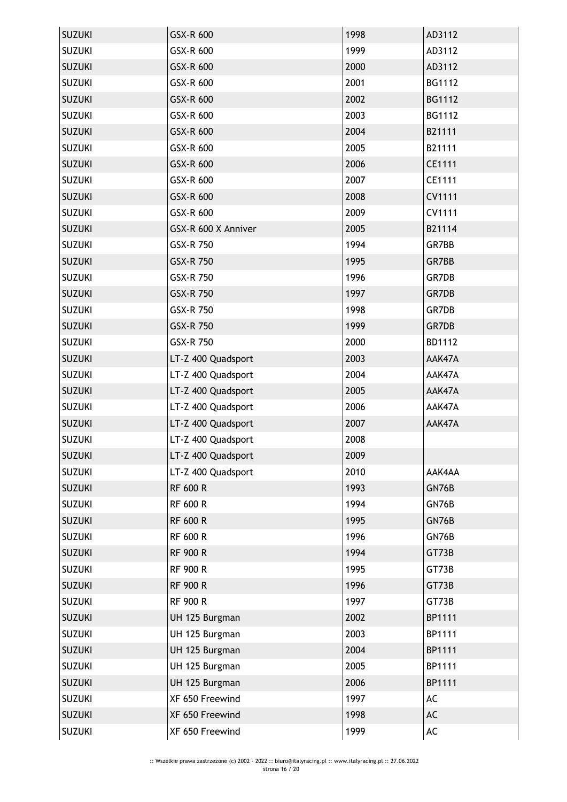| <b>SUZUKI</b> | GSX-R 600           | 1998 | AD3112 |
|---------------|---------------------|------|--------|
| <b>SUZUKI</b> | GSX-R 600           | 1999 | AD3112 |
| <b>SUZUKI</b> | GSX-R 600           | 2000 | AD3112 |
| <b>SUZUKI</b> | GSX-R 600           | 2001 | BG1112 |
| <b>SUZUKI</b> | GSX-R 600           | 2002 | BG1112 |
| <b>SUZUKI</b> | GSX-R 600           | 2003 | BG1112 |
| <b>SUZUKI</b> | GSX-R 600           | 2004 | B21111 |
| <b>SUZUKI</b> | GSX-R 600           | 2005 | B21111 |
| <b>SUZUKI</b> | GSX-R 600           | 2006 | CE1111 |
| <b>SUZUKI</b> | GSX-R 600           | 2007 | CE1111 |
| <b>SUZUKI</b> | GSX-R 600           | 2008 | CV1111 |
| <b>SUZUKI</b> | GSX-R 600           | 2009 | CV1111 |
| <b>SUZUKI</b> | GSX-R 600 X Anniver | 2005 | B21114 |
| <b>SUZUKI</b> | GSX-R 750           | 1994 | GR7BB  |
| <b>SUZUKI</b> | GSX-R 750           | 1995 | GR7BB  |
| <b>SUZUKI</b> | GSX-R 750           | 1996 | GR7DB  |
| <b>SUZUKI</b> | GSX-R 750           | 1997 | GR7DB  |
| <b>SUZUKI</b> | GSX-R 750           | 1998 | GR7DB  |
| <b>SUZUKI</b> | GSX-R 750           | 1999 | GR7DB  |
| <b>SUZUKI</b> | GSX-R 750           | 2000 | BD1112 |
| <b>SUZUKI</b> | LT-Z 400 Quadsport  | 2003 | AAK47A |
| <b>SUZUKI</b> | LT-Z 400 Quadsport  | 2004 | AAK47A |
| <b>SUZUKI</b> | LT-Z 400 Quadsport  | 2005 | AAK47A |
| <b>SUZUKI</b> | LT-Z 400 Quadsport  | 2006 | AAK47A |
| <b>SUZUKI</b> | LT-Z 400 Quadsport  | 2007 | AAK47A |
| <b>SUZUKI</b> | LT-Z 400 Quadsport  | 2008 |        |
| <b>SUZUKI</b> | LT-Z 400 Quadsport  | 2009 |        |
| <b>SUZUKI</b> | LT-Z 400 Quadsport  | 2010 | AAK4AA |
| <b>SUZUKI</b> | <b>RF 600 R</b>     | 1993 | GN76B  |
| <b>SUZUKI</b> | <b>RF 600 R</b>     | 1994 | GN76B  |
| <b>SUZUKI</b> | RF 600 R            | 1995 | GN76B  |
| <b>SUZUKI</b> | <b>RF 600 R</b>     | 1996 | GN76B  |
| <b>SUZUKI</b> | <b>RF 900 R</b>     | 1994 | GT73B  |
| <b>SUZUKI</b> | <b>RF 900 R</b>     | 1995 | GT73B  |
| <b>SUZUKI</b> | <b>RF 900 R</b>     | 1996 | GT73B  |
| <b>SUZUKI</b> | <b>RF 900 R</b>     | 1997 | GT73B  |
| <b>SUZUKI</b> | UH 125 Burgman      | 2002 | BP1111 |
| <b>SUZUKI</b> | UH 125 Burgman      | 2003 | BP1111 |
| <b>SUZUKI</b> | UH 125 Burgman      | 2004 | BP1111 |
| <b>SUZUKI</b> | UH 125 Burgman      | 2005 | BP1111 |
| <b>SUZUKI</b> | UH 125 Burgman      | 2006 | BP1111 |
| <b>SUZUKI</b> | XF 650 Freewind     | 1997 | AC     |
| <b>SUZUKI</b> | XF 650 Freewind     | 1998 | AC     |
| <b>SUZUKI</b> | XF 650 Freewind     | 1999 | AC     |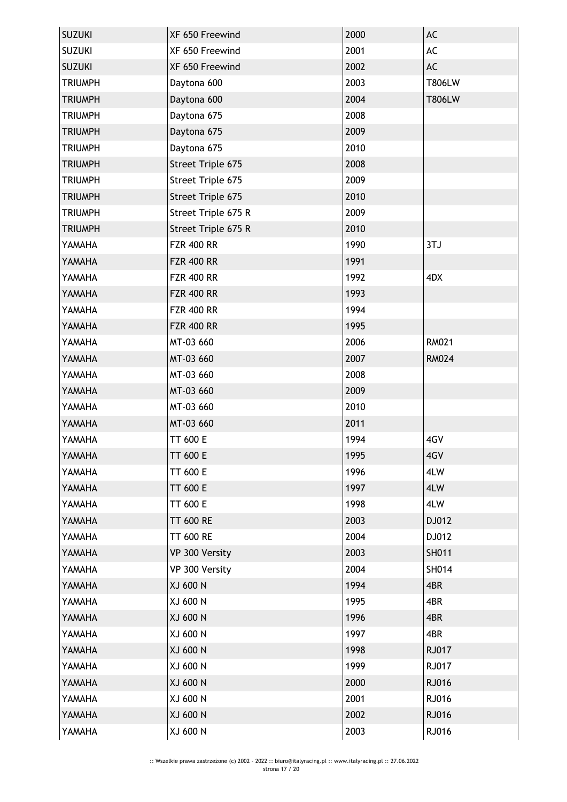| <b>SUZUKI</b>  | XF 650 Freewind     | 2000 | AC            |
|----------------|---------------------|------|---------------|
| <b>SUZUKI</b>  | XF 650 Freewind     | 2001 | AC            |
| <b>SUZUKI</b>  | XF 650 Freewind     | 2002 | AC            |
| <b>TRIUMPH</b> | Daytona 600         | 2003 | <b>T806LW</b> |
| <b>TRIUMPH</b> | Daytona 600         | 2004 | T806LW        |
| <b>TRIUMPH</b> | Daytona 675         | 2008 |               |
| <b>TRIUMPH</b> | Daytona 675         | 2009 |               |
| <b>TRIUMPH</b> | Daytona 675         | 2010 |               |
| <b>TRIUMPH</b> | Street Triple 675   | 2008 |               |
| <b>TRIUMPH</b> | Street Triple 675   | 2009 |               |
| <b>TRIUMPH</b> | Street Triple 675   | 2010 |               |
| <b>TRIUMPH</b> | Street Triple 675 R | 2009 |               |
| <b>TRIUMPH</b> | Street Triple 675 R | 2010 |               |
| YAMAHA         | <b>FZR 400 RR</b>   | 1990 | 3TJ           |
| YAMAHA         | <b>FZR 400 RR</b>   | 1991 |               |
| YAMAHA         | <b>FZR 400 RR</b>   | 1992 | 4DX           |
| YAMAHA         | <b>FZR 400 RR</b>   | 1993 |               |
| YAMAHA         | <b>FZR 400 RR</b>   | 1994 |               |
| YAMAHA         | <b>FZR 400 RR</b>   | 1995 |               |
| YAMAHA         | MT-03 660           | 2006 | <b>RM021</b>  |
| YAMAHA         | MT-03 660           | 2007 | <b>RM024</b>  |
| YAMAHA         | MT-03 660           | 2008 |               |
| YAMAHA         | MT-03 660           | 2009 |               |
| YAMAHA         | MT-03 660           | 2010 |               |
| YAMAHA         | MT-03 660           | 2011 |               |
| YAMAHA         | TT 600 E            | 1994 | 4GV           |
| YAMAHA         | TT 600 E            | 1995 | 4GV           |
| YAMAHA         | TT 600 E            | 1996 | 4LW           |
| YAMAHA         | <b>TT 600 E</b>     | 1997 | 4LW           |
| YAMAHA         | <b>TT 600 E</b>     | 1998 | 4LW           |
| YAMAHA         | <b>TT 600 RE</b>    | 2003 | DJ012         |
| YAMAHA         | <b>TT 600 RE</b>    | 2004 | DJ012         |
| YAMAHA         | VP 300 Versity      | 2003 | SH011         |
| YAMAHA         | VP 300 Versity      | 2004 | SH014         |
| YAMAHA         | XJ 600 N            | 1994 | 4BR           |
| YAMAHA         | XJ 600 N            | 1995 | 4BR           |
| YAMAHA         | XJ 600 N            | 1996 | 4BR           |
| YAMAHA         | XJ 600 N            | 1997 | 4BR           |
| YAMAHA         | XJ 600 N            | 1998 | RJ017         |
| YAMAHA         | XJ 600 N            | 1999 | RJ017         |
| YAMAHA         | XJ 600 N            | 2000 | RJ016         |
| YAMAHA         |                     | 2001 |               |
|                | XJ 600 N            |      | RJ016         |
| YAMAHA         | XJ 600 N            | 2002 | RJ016         |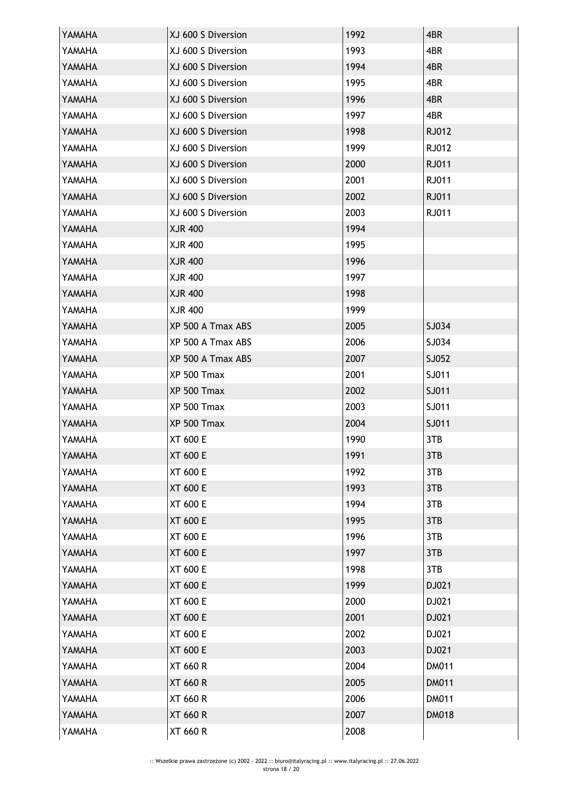| YAMAHA | XJ 600 S Diversion | 1992 | 4BR          |
|--------|--------------------|------|--------------|
| YAMAHA | XJ 600 S Diversion | 1993 | 4BR          |
| YAMAHA | XJ 600 S Diversion | 1994 | 4BR          |
| YAMAHA | XJ 600 S Diversion | 1995 | 4BR          |
| YAMAHA | XJ 600 S Diversion | 1996 | 4BR          |
| YAMAHA | XJ 600 S Diversion | 1997 | 4BR          |
| YAMAHA | XJ 600 S Diversion | 1998 | RJ012        |
| YAMAHA | XJ 600 S Diversion | 1999 | RJ012        |
| YAMAHA | XJ 600 S Diversion | 2000 | RJ011        |
| YAMAHA | XJ 600 S Diversion | 2001 | RJ011        |
| YAMAHA | XJ 600 S Diversion | 2002 | RJ011        |
| YAMAHA | XJ 600 S Diversion | 2003 | RJ011        |
| YAMAHA | <b>XJR 400</b>     | 1994 |              |
| YAMAHA | XJR 400            | 1995 |              |
| YAMAHA | <b>XJR 400</b>     | 1996 |              |
| YAMAHA | <b>XJR 400</b>     | 1997 |              |
| YAMAHA | <b>XJR 400</b>     | 1998 |              |
| YAMAHA | XJR 400            | 1999 |              |
| YAMAHA | XP 500 A Tmax ABS  | 2005 | SJ034        |
| YAMAHA | XP 500 A Tmax ABS  | 2006 | SJ034        |
| YAMAHA | XP 500 A Tmax ABS  | 2007 | SJ052        |
| YAMAHA | XP 500 Tmax        | 2001 | SJ011        |
| YAMAHA | XP 500 Tmax        | 2002 | SJ011        |
| YAMAHA | XP 500 Tmax        | 2003 | SJ011        |
| YAMAHA | XP 500 Tmax        | 2004 | SJ011        |
| YAMAHA | XT 600 E           | 1990 | 3TB          |
| YAMAHA | XT 600 E           | 1991 | 3TB          |
| YAMAHA | XT 600 E           | 1992 | 3TB          |
| YAMAHA | <b>XT 600 E</b>    | 1993 | 3TB          |
| YAMAHA | XT 600 E           | 1994 | 3TB          |
| YAMAHA | XT 600 E           | 1995 | 3TB          |
| YAMAHA | XT 600 E           | 1996 | 3TB          |
| YAMAHA | XT 600 E           | 1997 | 3TB          |
| YAMAHA | XT 600 E           | 1998 | 3TB          |
| YAMAHA | XT 600 E           | 1999 | DJ021        |
| YAMAHA | XT 600 E           | 2000 | DJ021        |
| YAMAHA | XT 600 E           | 2001 | DJ021        |
| YAMAHA | XT 600 E           | 2002 | DJ021        |
| YAMAHA | XT 600 E           | 2003 | DJ021        |
| YAMAHA | XT 660 R           | 2004 | DM011        |
| YAMAHA | <b>XT 660 R</b>    | 2005 | <b>DM011</b> |
| YAMAHA | XT 660 R           | 2006 | DM011        |
| YAMAHA | <b>XT 660 R</b>    | 2007 | <b>DM018</b> |
| YAMAHA | XT 660 R           | 2008 |              |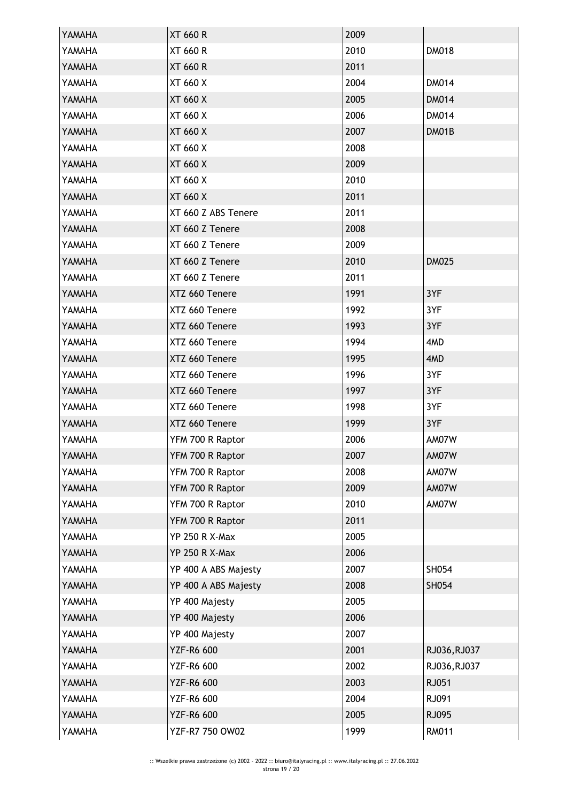| YAMAHA | <b>XT 660 R</b>       | 2009 |              |
|--------|-----------------------|------|--------------|
| YAMAHA | <b>XT 660 R</b>       | 2010 | <b>DM018</b> |
| YAMAHA | <b>XT 660 R</b>       | 2011 |              |
| YAMAHA | XT 660 X              | 2004 | <b>DM014</b> |
| YAMAHA | <b>XT 660 X</b>       | 2005 | <b>DM014</b> |
| YAMAHA | XT 660 X              | 2006 | <b>DM014</b> |
| YAMAHA | XT 660 X              | 2007 | DM01B        |
| YAMAHA | XT 660 X              | 2008 |              |
| YAMAHA | XT 660 X              | 2009 |              |
| YAMAHA | XT 660 X              | 2010 |              |
| YAMAHA | XT 660 X              | 2011 |              |
| YAMAHA | XT 660 Z ABS Tenere   | 2011 |              |
| YAMAHA | XT 660 Z Tenere       | 2008 |              |
| YAMAHA | XT 660 Z Tenere       | 2009 |              |
| YAMAHA | XT 660 Z Tenere       | 2010 | <b>DM025</b> |
| YAMAHA | XT 660 Z Tenere       | 2011 |              |
| YAMAHA | XTZ 660 Tenere        | 1991 | 3YF          |
| YAMAHA | XTZ 660 Tenere        | 1992 | 3YF          |
| YAMAHA | XTZ 660 Tenere        | 1993 | 3YF          |
| YAMAHA | XTZ 660 Tenere        | 1994 | 4MD          |
| YAMAHA | XTZ 660 Tenere        | 1995 | 4MD          |
| YAMAHA | XTZ 660 Tenere        | 1996 | 3YF          |
| YAMAHA | XTZ 660 Tenere        | 1997 | 3YF          |
| YAMAHA | XTZ 660 Tenere        | 1998 | 3YF          |
| YAMAHA | XTZ 660 Tenere        | 1999 | 3YF          |
| YAMAHA | YFM 700 R Raptor      | 2006 | AM07W        |
| YAMAHA | YFM 700 R Raptor      | 2007 | AM07W        |
| YAMAHA | YFM 700 R Raptor      | 2008 | AM07W        |
| YAMAHA | YFM 700 R Raptor      | 2009 | AM07W        |
| YAMAHA | YFM 700 R Raptor      | 2010 | AM07W        |
| YAMAHA | YFM 700 R Raptor      | 2011 |              |
| YAMAHA | <b>YP 250 R X-Max</b> | 2005 |              |
| YAMAHA | <b>YP 250 R X-Max</b> | 2006 |              |
| YAMAHA | YP 400 A ABS Majesty  | 2007 | SH054        |
| YAMAHA | YP 400 A ABS Majesty  | 2008 | SH054        |
| YAMAHA | YP 400 Majesty        | 2005 |              |
| YAMAHA | YP 400 Majesty        | 2006 |              |
| YAMAHA | YP 400 Majesty        | 2007 |              |
| YAMAHA | <b>YZF-R6 600</b>     | 2001 | RJ036, RJ037 |
| YAMAHA | <b>YZF-R6 600</b>     | 2002 | RJ036, RJ037 |
| YAMAHA | <b>YZF-R6 600</b>     | 2003 | RJ051        |
| YAMAHA | <b>YZF-R6 600</b>     | 2004 | RJ091        |
| YAMAHA | YZF-R6 600            | 2005 | RJ095        |
| YAMAHA | YZF-R7 750 OW02       | 1999 | <b>RM011</b> |